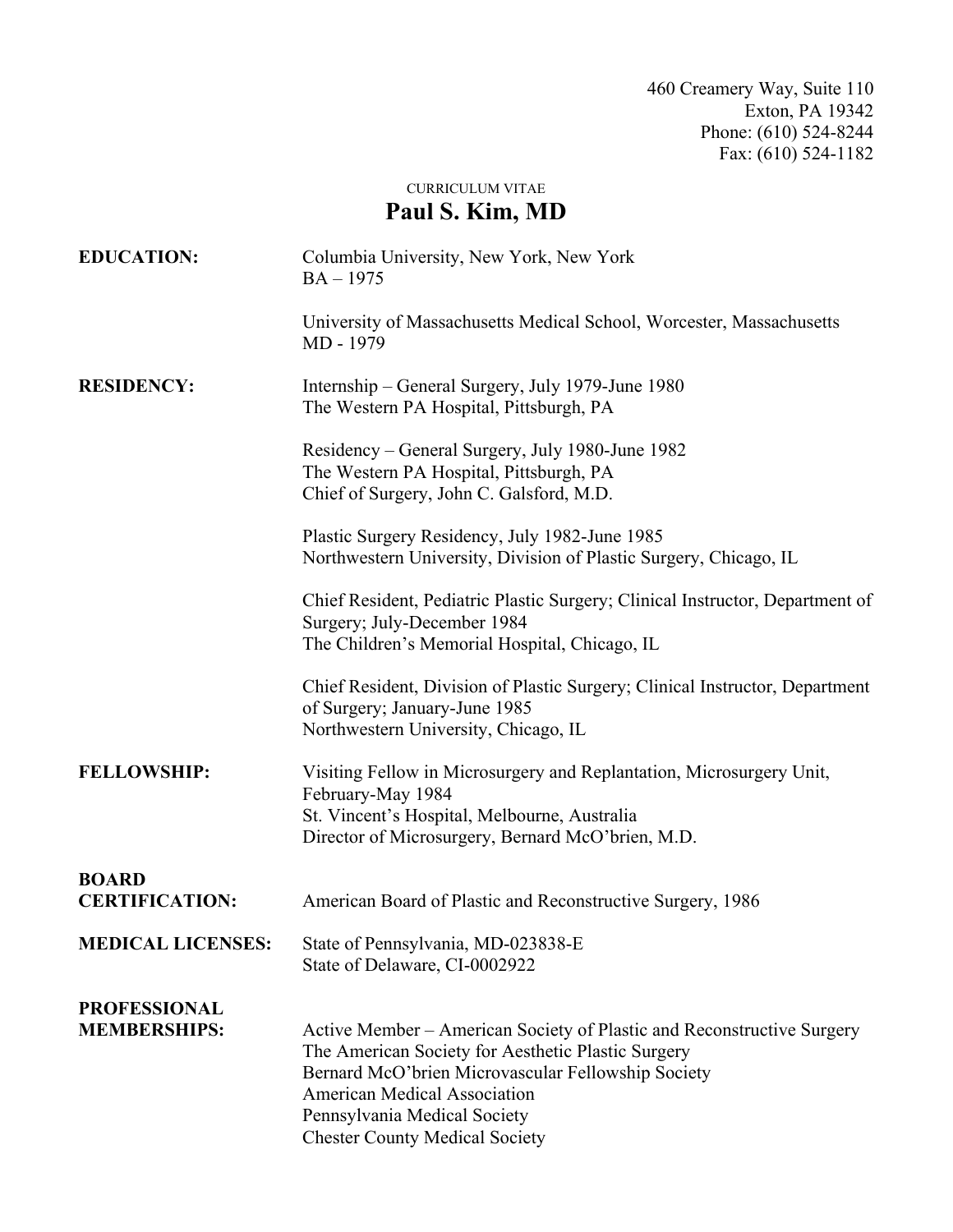CURRICULUM VITAE

## **Paul S. Kim, MD**

| <b>EDUCATION:</b>                          | Columbia University, New York, New York<br>$BA - 1975$                                                                                                                                                                                                                                             |
|--------------------------------------------|----------------------------------------------------------------------------------------------------------------------------------------------------------------------------------------------------------------------------------------------------------------------------------------------------|
|                                            | University of Massachusetts Medical School, Worcester, Massachusetts<br>MD - 1979                                                                                                                                                                                                                  |
| <b>RESIDENCY:</b>                          | Internship – General Surgery, July 1979-June 1980<br>The Western PA Hospital, Pittsburgh, PA                                                                                                                                                                                                       |
|                                            | Residency – General Surgery, July 1980-June 1982<br>The Western PA Hospital, Pittsburgh, PA<br>Chief of Surgery, John C. Galsford, M.D.                                                                                                                                                            |
|                                            | Plastic Surgery Residency, July 1982-June 1985<br>Northwestern University, Division of Plastic Surgery, Chicago, IL                                                                                                                                                                                |
|                                            | Chief Resident, Pediatric Plastic Surgery; Clinical Instructor, Department of<br>Surgery; July-December 1984<br>The Children's Memorial Hospital, Chicago, IL                                                                                                                                      |
|                                            | Chief Resident, Division of Plastic Surgery; Clinical Instructor, Department<br>of Surgery; January-June 1985<br>Northwestern University, Chicago, IL                                                                                                                                              |
| <b>FELLOWSHIP:</b>                         | Visiting Fellow in Microsurgery and Replantation, Microsurgery Unit,<br>February-May 1984<br>St. Vincent's Hospital, Melbourne, Australia<br>Director of Microsurgery, Bernard McO'brien, M.D.                                                                                                     |
| <b>BOARD</b><br><b>CERTIFICATION:</b>      | American Board of Plastic and Reconstructive Surgery, 1986                                                                                                                                                                                                                                         |
| <b>MEDICAL LICENSES:</b>                   | State of Pennsylvania, MD-023838-E<br>State of Delaware, CI-0002922                                                                                                                                                                                                                                |
| <b>PROFESSIONAL</b><br><b>MEMBERSHIPS:</b> | Active Member – American Society of Plastic and Reconstructive Surgery<br>The American Society for Aesthetic Plastic Surgery<br>Bernard McO'brien Microvascular Fellowship Society<br><b>American Medical Association</b><br>Pennsylvania Medical Society<br><b>Chester County Medical Society</b> |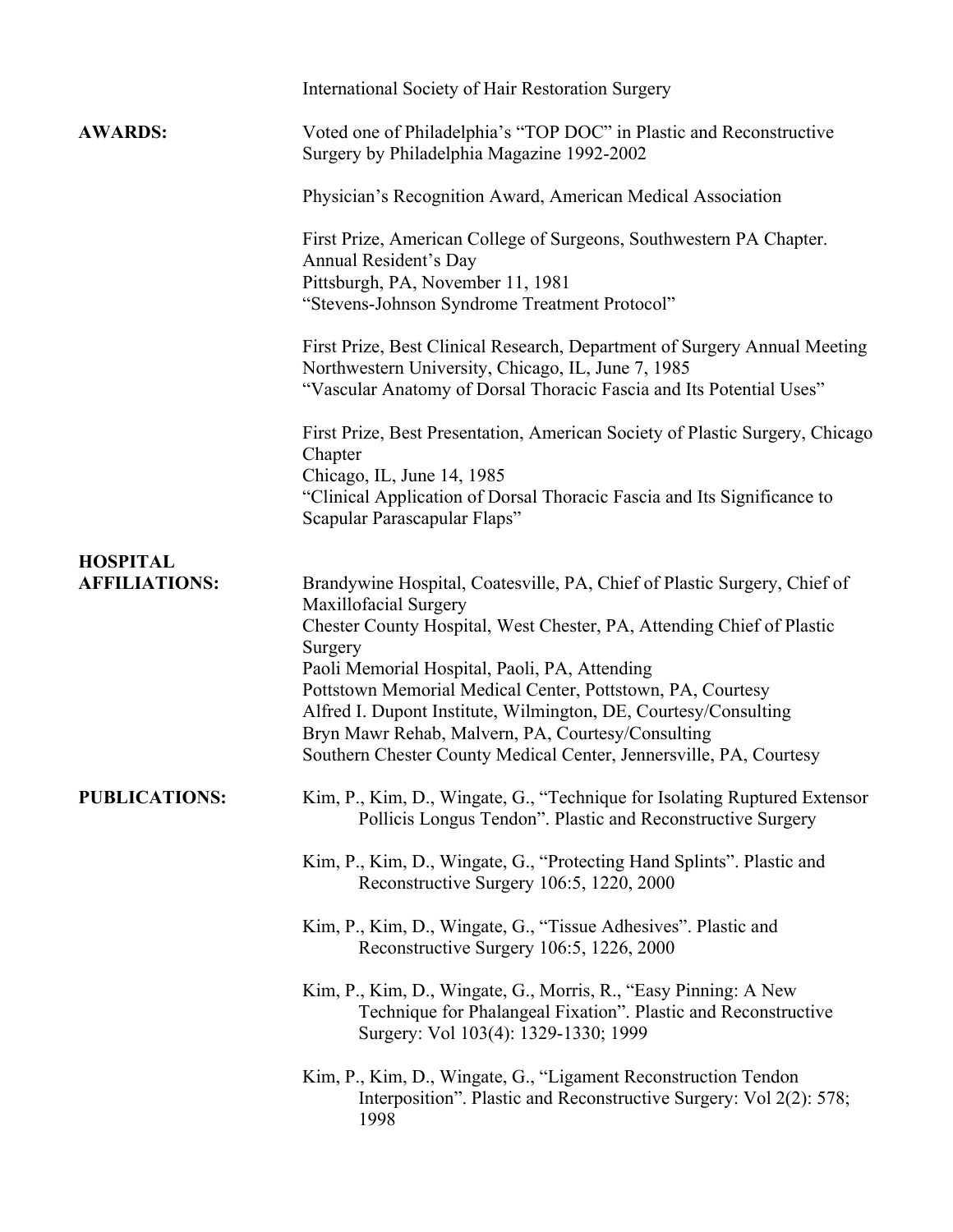|                      | <b>International Society of Hair Restoration Surgery</b>                                                                                                                                                                                                                                                                                                                                                                                                                                           |
|----------------------|----------------------------------------------------------------------------------------------------------------------------------------------------------------------------------------------------------------------------------------------------------------------------------------------------------------------------------------------------------------------------------------------------------------------------------------------------------------------------------------------------|
| <b>AWARDS:</b>       | Voted one of Philadelphia's "TOP DOC" in Plastic and Reconstructive<br>Surgery by Philadelphia Magazine 1992-2002                                                                                                                                                                                                                                                                                                                                                                                  |
|                      | Physician's Recognition Award, American Medical Association                                                                                                                                                                                                                                                                                                                                                                                                                                        |
|                      | First Prize, American College of Surgeons, Southwestern PA Chapter.<br>Annual Resident's Day<br>Pittsburgh, PA, November 11, 1981<br>"Stevens-Johnson Syndrome Treatment Protocol"                                                                                                                                                                                                                                                                                                                 |
|                      | First Prize, Best Clinical Research, Department of Surgery Annual Meeting<br>Northwestern University, Chicago, IL, June 7, 1985<br>"Vascular Anatomy of Dorsal Thoracic Fascia and Its Potential Uses"                                                                                                                                                                                                                                                                                             |
|                      | First Prize, Best Presentation, American Society of Plastic Surgery, Chicago<br>Chapter<br>Chicago, IL, June 14, 1985<br>"Clinical Application of Dorsal Thoracic Fascia and Its Significance to<br>Scapular Parascapular Flaps"                                                                                                                                                                                                                                                                   |
| <b>HOSPITAL</b>      |                                                                                                                                                                                                                                                                                                                                                                                                                                                                                                    |
| <b>AFFILIATIONS:</b> | Brandywine Hospital, Coatesville, PA, Chief of Plastic Surgery, Chief of<br>Maxillofacial Surgery<br>Chester County Hospital, West Chester, PA, Attending Chief of Plastic<br>Surgery<br>Paoli Memorial Hospital, Paoli, PA, Attending<br>Pottstown Memorial Medical Center, Pottstown, PA, Courtesy<br>Alfred I. Dupont Institute, Wilmington, DE, Courtesy/Consulting<br>Bryn Mawr Rehab, Malvern, PA, Courtesy/Consulting<br>Southern Chester County Medical Center, Jennersville, PA, Courtesy |
| <b>PUBLICATIONS:</b> | Kim, P., Kim, D., Wingate, G., "Technique for Isolating Ruptured Extensor<br>Pollicis Longus Tendon". Plastic and Reconstructive Surgery                                                                                                                                                                                                                                                                                                                                                           |
|                      | Kim, P., Kim, D., Wingate, G., "Protecting Hand Splints". Plastic and<br>Reconstructive Surgery 106:5, 1220, 2000                                                                                                                                                                                                                                                                                                                                                                                  |
|                      | Kim, P., Kim, D., Wingate, G., "Tissue Adhesives". Plastic and<br>Reconstructive Surgery 106:5, 1226, 2000                                                                                                                                                                                                                                                                                                                                                                                         |
|                      | Kim, P., Kim, D., Wingate, G., Morris, R., "Easy Pinning: A New<br>Technique for Phalangeal Fixation". Plastic and Reconstructive<br>Surgery: Vol 103(4): 1329-1330; 1999                                                                                                                                                                                                                                                                                                                          |
|                      | Kim, P., Kim, D., Wingate, G., "Ligament Reconstruction Tendon<br>Interposition". Plastic and Reconstructive Surgery: Vol 2(2): 578;<br>1998                                                                                                                                                                                                                                                                                                                                                       |